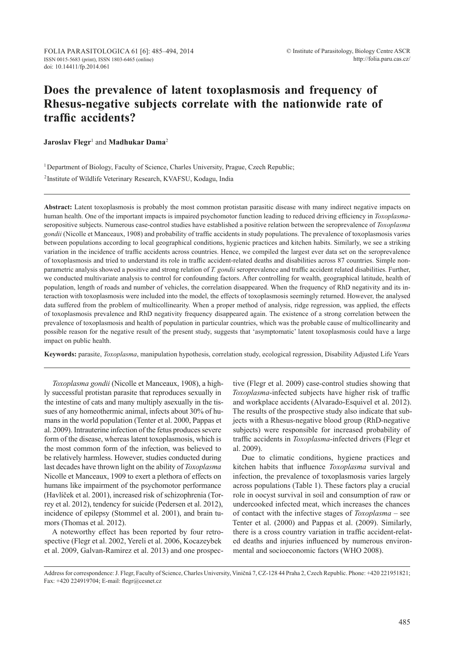# **Does the prevalence of latent toxoplasmosis and frequency of Rhesus-negative subjects correlate with the nationwide rate of traffic accidents?**

**Jaroslav Flegr<sup>1</sup> and Madhukar Dama<sup>2</sup>** 

<sup>1</sup> Department of Biology, Faculty of Science, Charles University, Prague, Czech Republic;

<sup>2</sup>Institute of Wildlife Veterinary Research, KVAFSU, Kodagu, India

**Abstract:** Latent toxoplasmosis is probably the most common protistan parasitic disease with many indirect negative impacts on human health. One of the important impacts is impaired psychomotor function leading to reduced driving efficiency in *Toxoplasma*seropositive subjects. Numerous case-control studies have established a positive relation between the seroprevalence of *Toxoplasma gondii* (Nicolle et Manceaux, 1908) and probability of traffic accidents in study populations. The prevalence of toxoplasmosis varies between populations according to local geographical conditions, hygienic practices and kitchen habits. Similarly, we see a striking variation in the incidence of traffic accidents across countries. Hence, we compiled the largest ever data set on the seroprevalence of toxoplasmosis and tried to understand its role in traffic accident-related deaths and disabilities across 87 countries. Simple nonparametric analysis showed a positive and strong relation of *T. gondii* seroprevalence and traffic accident related disabilities. Further, we conducted multivariate analysis to control for confounding factors. After controlling for wealth, geographical latitude, health of population, length of roads and number of vehicles, the correlation disappeared. When the frequency of RhD negativity and its interaction with toxoplasmosis were included into the model, the effects of toxoplasmosis seemingly returned. However, the analysed data suffered from the problem of multicollinearity. When a proper method of analysis, ridge regression, was applied, the effects of toxoplasmosis prevalence and RhD negativity frequency disappeared again. The existence of a strong correlation between the prevalence of toxoplasmosis and health of population in particular countries, which was the probable cause of multicollinearity and possible reason for the negative result of the present study, suggests that 'asymptomatic' latent toxoplasmosis could have a large impact on public health.

**Keywords:** parasite, *Toxoplasma*, manipulation hypothesis, correlation study, ecological regression, Disability Adjusted Life Years

*Toxoplasma gondii* (Nicolle et Manceaux, 1908), a highly successful protistan parasite that reproduces sexually in the intestine of cats and many multiply asexually in the tissues of any homeothermic animal, infects about 30% of humans in the world population (Tenter et al. 2000, Pappas et al. 2009). Intrauterine infection of the fetus produces severe form of the disease, whereas latent toxoplasmosis, which is the most common form of the infection, was believed to be relatively harmless. However, studies conducted during last decades have thrown light on the ability of *Toxoplasma*  Nicolle et Manceaux, 1909 to exert a plethora of effects on humans like impairment of the psychomotor performance (Havlíček et al. 2001), increased risk of schizophrenia (Torrey et al. 2012), tendency for suicide (Pedersen et al. 2012), incidence of epilepsy (Stommel et al. 2001), and brain tumors (Thomas et al. 2012).

A noteworthy effect has been reported by four retrospective (Flegr et al. 2002, Yereli et al. 2006, Kocazeybek et al. 2009, Galvan-Ramirez et al. 2013) and one prospec-

tive (Flegr et al. 2009) case-control studies showing that *Toxoplasma*-infected subjects have higher risk of traffic and workplace accidents (Alvarado-Esquivel et al. 2012). The results of the prospective study also indicate that subjects with a Rhesus-negative blood group (RhD-negative subjects) were responsible for increased probability of traffic accidents in *Toxoplasma*-infected drivers (Flegr et al. 2009).

Due to climatic conditions, hygiene practices and kitchen habits that influence *Toxoplasma* survival and infection, the prevalence of toxoplasmosis varies largely across populations (Table 1). These factors play a crucial role in oocyst survival in soil and consumption of raw or undercooked infected meat, which increases the chances of contact with the infective stages of *Toxoplasma –* see Tenter et al. (2000) and Pappas et al. (2009). Similarly, there is a cross country variation in traffic accident-related deaths and injuries influenced by numerous environmental and socioeconomic factors (WHO 2008).

Address for correspondence: J. Flegr, Faculty of Science, Charles University, Viničná 7, CZ-128 44 Praha 2, Czech Republic. Phone: +420 221951821; Fax: +420 224919704; E-mail: flegr@cesnet.cz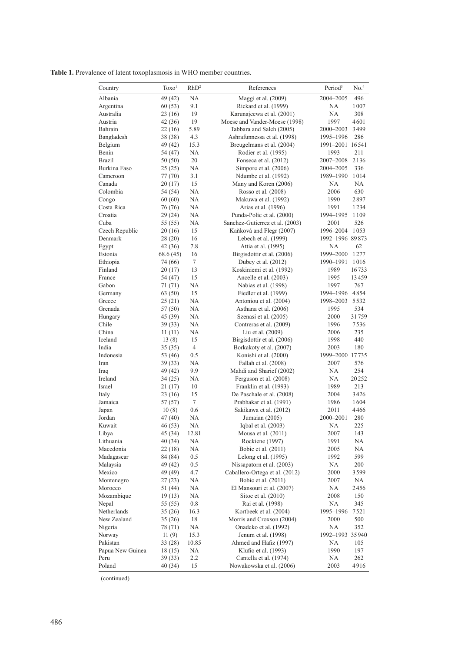**Table 1.** Prevalence of latent toxoplasmosis in WHO member countries.

| Country             | Toxo <sup>1</sup>  | RhD <sup>2</sup> | References                                   | Period <sup>3</sup> | No. <sup>4</sup> |
|---------------------|--------------------|------------------|----------------------------------------------|---------------------|------------------|
| Albania             | 49 (42)            | NA               | Maggi et al. (2009)                          | 2004-2005           | 496              |
| Argentina           | 60(53)             | 9.1              | Rickard et al. (1999)                        | NA                  | 1007             |
| Australia           | 23 (16)            | 19               | Karunajeewa et al. (2001)                    | NA                  | 308              |
| Austria             | 42 (36)            | 19               | Moese and Vander-Moese (1998)                | 1997                | 4601             |
| Bahrain             | 22 (16)            | 5.89             | Tabbara and Saleh (2005)                     | 2000-2003           | 3499             |
| Bangladesh          | 38 (38)            | 4.3              | Ashrafunnessa et al. (1998)                  | 1995-1996           | 286              |
| Belgium             | 49 (42)            | 15.3             | Breugelmans et al. (2004)                    | 1991-2001 16541     |                  |
| Benin               | 54 (47)            | NA               | Rodier et al. (1995)                         | 1993                | 211              |
| Brazil              | 50 (50)            | 20               | Fonseca et al. (2012)                        | 2007-2008           | 2136             |
| <b>Burkina Faso</b> | 25 (25)            | NA               | Simpore et al. (2006)                        | 2004-2005           | 336              |
| Cameroon            | 77 (70)            | 3.1              | Ndumbe et al. (1992)                         | 1989-1990           | 1014             |
| Canada              | 20 (17)            | 15               | Many and Koren (2006)                        | NA                  | <b>NA</b>        |
| Colombia<br>Congo   | 54 (54)            | NA<br>NA         | Rosso et al. (2008)                          | 2006                | 630<br>2897      |
| Costa Rica          | 60(60)<br>76 (76)  | NA               | Makuwa et al. (1992)<br>Arias et al. (1996)  | 1990<br>1991        | 1234             |
| Croatia             |                    | NA               | Punda-Polic et al. (2000)                    | 1994-1995           | 1109             |
| Cuba                | 29 (24)<br>55 (55) | NA               | Sanchez-Gutierrez et al. (2003)              | 2001                | 526              |
| Czech Republic      | 20(16)             | 15               | Kaňková and Flegr (2007)                     | 1996-2004           | 1053             |
| Denmark             | 28 (20)            | 16               | Lebech et al. (1999)                         | 1992-1996 89873     |                  |
| Egypt               | 42 (36)            | 7.8              | Attia et al. (1995)                          | NA                  | 62               |
| Estonia             | 68.6 (45)          | 16               | Birgisdottir et al. (2006)                   | 1999-2000           | 1277             |
| Ethiopia            | 74 (66)            | 7                | Dubey et al. (2012)                          | 1990-1991           | 1016             |
| Finland             | 20 (17)            | 13               | Koskiniemi et al. (1992)                     | 1989                | 16733            |
| France              | 54 (47)            | 15               | Ancelle et al. (2003)                        | 1995                | 13459            |
| Gabon               | 71 (71)            | <b>NA</b>        | Nabias et al. (1998)                         | 1997                | 767              |
| Germany             | 63 (50)            | 15               | Fiedler et al. (1999)                        | 1994-1996           | 4854             |
| Greece              | 25(21)             | NA               | Antoniou et al. (2004)                       | 1998-2003           | 5532             |
| Grenada             | 57 (50)            | NA               | Asthana et al. (2006)                        | 1995                | 534              |
| Hungary             | 45 (39)            | NA               | Szenasi et al. (2005)                        | 2000                | 31759            |
| Chile               | 39 (33)            | NA               | Contreras et al. (2009)                      | 1996                | 7536             |
| China               | 11(11)             | NA               | Liu et al. (2009)                            | 2006                | 235              |
| Iceland             | 13(8)              | 15               | Birgisdottir et al. (2006)                   | 1998                | 440              |
| India               | 35 (35)            | $\overline{4}$   | Borkakoty et al. (2007)                      | 2003                | 180              |
| Indonesia           | 53 (46)            | 0.5              | Konishi et al. (2000)                        | 1999-2000 17735     |                  |
| Iran                | 39 (33)            | <b>NA</b>        | Fallah et al. (2008)                         | 2007                | 576              |
| Iraq                | 49 (42)            | 9.9              | Mahdi and Sharief (2002)                     | NA                  | 254              |
| Ireland             | 34 (25)            | NA               | Ferguson et al. (2008)                       | NА                  | 20252            |
| Israel              | 21 (17)            | 10               | Franklin et al. (1993)                       | 1989                | 213              |
| Italy               | 23 (16)            | 15               | De Paschale et al. (2008)                    | 2004                | 3426             |
| Jamaica             | 57 (57)            | $\boldsymbol{7}$ | Prabhakar et al. (1991)                      | 1986                | 1604             |
| Japan               | 10(8)              | 0.6              | Sakikawa et al. (2012)                       | 2011                | 4466             |
| Jordan              | 47 (40)            | <b>NA</b>        | Jumaian (2005)                               | 2000-2001           | 280<br>225       |
| Kuwait<br>Libya     | 46 (53)            | NA               | Iqbal et al. $(2003)$<br>Mousa et al. (2011) | <b>NA</b><br>2007   | 143              |
| Lithuania           | 45 (34)<br>40 (34) | 12.81<br>NA      | Rockiene (1997)                              | 1991                | NА               |
| Macedonia           | 22(18)             | <b>NA</b>        | Bobic et al. (2011)                          | 2005                | NА               |
| Madagascar          | 84 (84)            | 0.5              | Lelong et al. (1995)                         | 1992                | 599              |
| Malaysia            | 49 (42)            | 0.5              | Nissapatorn et al. (2003)                    | NА                  | 200              |
| Mexico              | 49 (49)            | 4.7              | Caballero-Ortega et al. (2012)               | 2000                | 3599             |
| Montenegro          | 27 (23)            | <b>NA</b>        | Bobic et al. (2011)                          | 2007                | NA               |
| Morocco             | 51 (44)            | <b>NA</b>        | El Mansouri et al. (2007)                    | NA                  | 2456             |
| Mozambique          | 19(13)             | <b>NA</b>        | Sitoe et al. (2010)                          | 2008                | 150              |
| Nepal               | 55 (55)            | 0.8              | Rai et al. (1998)                            | NΑ                  | 345              |
| Netherlands         | 35(26)             | 16.3             | Kortbeek et al. (2004)                       | 1995-1996           | 7521             |
| New Zealand         | 35(26)             | 18               | Morris and Croxson (2004)                    | 2000                | 500              |
| Nigeria             | 78 (71)            | <b>NA</b>        | Onadeko et al. (1992)                        | NA                  | 352              |
| Norway              | 11(9)              | 15.3             | Jenum et al. (1998)                          | 1992-1993           | 35940            |
| Pakistan            | 33 (28)            | 10.85            | Ahmed and Hafiz (1997)                       | NΑ                  | 105              |
| Papua New Guinea    | 18 (15)            | <b>NA</b>        | Klufio et al. (1993)                         | 1990                | 197              |
| Peru                | 39 (33)            | 2.2              | Cantella et al. (1974)                       | NA                  | 262              |
| Poland              | 40(34)             | 15               | Nowakowska et al. (2006)                     | 2003                | 4916             |

(continued)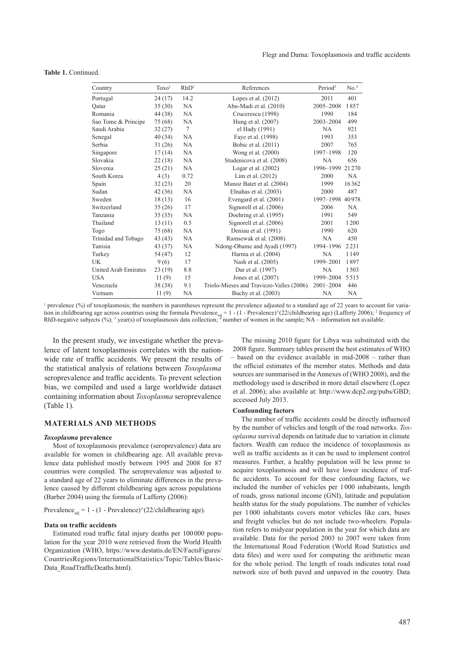# **Table 1.** Continued.

| Country              | Toxo <sup>1</sup> | RhD <sup>2</sup> | References                               | Period <sup>3</sup> | No. <sup>4</sup> |
|----------------------|-------------------|------------------|------------------------------------------|---------------------|------------------|
| Portugal             | 24 (17)           | 14.2             | Lopes et al. $(2012)$                    | 2011                | 401              |
| Oatar                | 35(30)            | NA               | Abu-Madi et al. (2010)                   | 2005-2008           | 1857             |
| Romania              | 44 (38)           | NA               | Crucerescu (1998)                        | 1990                | 184              |
| Sao Tome & Principe  | 75 (68)           | NA               | Hung et al. (2007)                       | 2003-2004           | 499              |
| Saudi Arabia         | 32(27)            | $\overline{7}$   | el Hady (1991)                           | <b>NA</b>           | 921              |
| Senegal              | 40 (34)           | <b>NA</b>        | Faye et al. (1998)                       | 1993                | 353              |
| Serbia               | 31(26)            | <b>NA</b>        | Bobic et al. (2011)                      | 2007                | 765              |
| Singapore            | 17(14)            | <b>NA</b>        | Wong et al. (2000)                       | 1997-1998           | 120              |
| Slovakia             | 22(18)            | NA               | Studenicova et al. (2008)                | NA                  | 656              |
| Slovenia             | 25(21)            | NA               | Logar et al. $(2002)$                    | 1996-1999           | 21270            |
| South Korea          | 4(3)              | 0.72             | Lim et al. $(2012)$                      | 2000                | NA               |
| Spain                | 32(23)            | 20               | Munoz Batet et al. (2004)                | 1999                | 16362            |
| Sudan                | 42(36)            | NA               | Elnahas et al. (2003)                    | 2000                | 487              |
| Sweden               | 18(13)            | 16               | Evengard et al. (2001)                   | 1997-1998           | 40978            |
| Switzerland          | 35(26)            | 17               | Signorell et al. (2006)                  | 2006                | <b>NA</b>        |
| Tanzania             | 35(35)            | <b>NA</b>        | Doehring et al. (1995)                   | 1991                | 549              |
| Thailand             | 13(11)            | 0.5              | Signorell et al. (2006)                  | 2001                | 1200             |
| Togo                 | 75 (68)           | <b>NA</b>        | Deniau et al. (1991)                     | 1990                | 620              |
| Trinidad and Tobago  | 43 (43)           | NA               | Ramsewak et al. (2008)                   | NA                  | 450              |
| Tunisia              | 43 (37)           | NA               | Ndong-Obame and Ayadi (1997)             | 1994-1996           | 2231             |
| Turkey               | 54 (47)           | 12               | Harma et al. (2004)                      | NA                  | 1149             |
| UK                   | 9(6)              | 17               | Nash et al. (2005)                       | 1999-2001           | 1897             |
| United Arab Emirates | 23 (19)           | 8.8              | Dar et al. (1997)                        | NA                  | 1503             |
| <b>USA</b>           | 11(9)             | 15               | Jones et al. (2007)                      | 1999-2004           | 5515             |
| Venezuela            | 38 (38)           | 9.1              | Triolo-Mieses and Traviezo-Valles (2006) | 2001-2004           | 446              |
| Vietnam              | 11(9)             | <b>NA</b>        | Buchy et al. (2003)                      | NA                  | NA               |

<sup>1</sup> prevalence (%) of toxoplasmosis; the numbers in parentheses represent the prevalence adjusted to a standard age of 22 years to account for variation in childbearing age across countries using the formula Prevalence<sub>adj</sub> = 1 - (1 - Prevalence) $\gamma$ (22/childbearing age) (Lafferty 2006); <sup>2</sup> frequency of RhD-negative subjects (%); <sup>3</sup> year(s) of toxoplasmosis data collection; <sup>4</sup> number of women in the sample; NA – information not available.

In the present study, we investigate whether the prevalence of latent toxoplasmosis correlates with the nationwide rate of traffic accidents. We present the results of the statistical analysis of relations between *Toxoplasma*  seroprevalence and traffic accidents. To prevent selection bias, we compiled and used a large worldwide dataset containing information about *Toxoplasma* seroprevalence (Table 1).

# **MATERIALS AND METHODS**

#### *Toxoplasma* **prevalence**

Most of toxoplasmosis prevalence (seroprevalence) data are available for women in childbearing age. All available prevalence data published mostly between 1995 and 2008 for 87 countries were compiled. The seroprevalence was adjusted to a standard age of 22 years to eliminate differences in the prevalence caused by different childbearing ages across populations (Barber 2004) using the formula of Lafferty (2006):

# Prevalence<sub>adj</sub> = 1 - (1 - Prevalence) $\sqrt{(22/\text{children})}$  age).

#### **Data on traffic accidents**

Estimated road traffic fatal injury deaths per 100000 population for the year 2010 were retrieved from the World Health Organization (WHO, https://www.destatis.de/EN/FactsFigures/ CountriesRegions/InternationalStatistics/Topic/Tables/Basic-Data\_RoadTrafficDeaths.html).

The missing 2010 figure for Libya was substituted with the 2008 figure. Summary tables present the best estimates of WHO – based on the evidence available in mid-2008 – rather than the official estimates of the member states. Methods and data sources are summarised in the Annexes of (WHO 2008), and the methodology used is described in more detail elsewhere (Lopez et al. 2006); also available at: http://www.dcp2.org/pubs/GBD; accessed July 2013.

#### **Confounding factors**

The number of traffic accidents could be directly influenced by the number of vehicles and length of the road networks. *Toxoplasma* survival depends on latitude due to variation in climate factors. Wealth can reduce the incidence of toxoplasmosis as well as traffic accidents as it can be used to implement control measures. Further, a healthy population will be less prone to acquire toxoplasmosis and will have lower incidence of traffic accidents. To account for these confounding factors, we included the number of vehicles per 1000 inhabitants, length of roads, gross national income (GNI), latitude and population health status for the study populations. The number of vehicles per 1000 inhabitants covers motor vehicles like cars, buses and freight vehicles but do not include two-wheelers. Population refers to midyear population in the year for which data are available. Data for the period 2003 to 2007 were taken from the International Road Federation (World Road Statistics and data files) and were used for computing the arithmetic mean for the whole period. The length of roads indicates total road network size of both paved and unpaved in the country. Data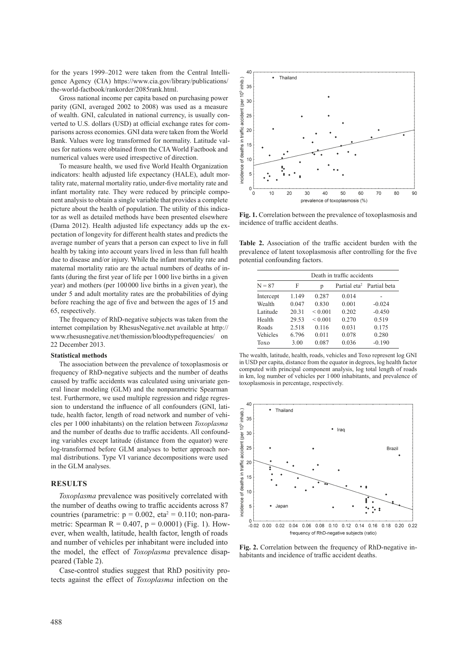for the years 1999–2012 were taken from the Central Intelligence Agency (CIA) https://www.cia.gov/library/publications/ the-world-factbook/rankorder/2085rank.html.

Gross national income per capita based on purchasing power parity (GNI, averaged 2002 to 2008) was used as a measure of wealth. GNI, calculated in national currency, is usually converted to U.S. dollars (USD) at official exchange rates for comparisons across economies. GNI data were taken from the World Bank. Values were log transformed for normality. Latitude values for nations were obtained from the CIA World Factbook and numerical values were used irrespective of direction.

To measure health, we used five World Health Organization indicators: health adjusted life expectancy (HALE), adult mortality rate, maternal mortality ratio, under-five mortality rate and infant mortality rate. They were reduced by principle component analysis to obtain a single variable that provides a complete picture about the health of population. The utility of this indicator as well as detailed methods have been presented elsewhere (Dama 2012). Health adjusted life expectancy adds up the expectation of longevity for different health states and predicts the average number of years that a person can expect to live in full health by taking into account years lived in less than full health due to disease and/or injury. While the infant mortality rate and maternal mortality ratio are the actual numbers of deaths of infants (during the first year of life per 1000 live births in a given year) and mothers (per 100000 live births in a given year), the under 5 and adult mortality rates are the probabilities of dying before reaching the age of five and between the ages of 15 and 65, respectively.

The frequency of RhD-negative subjects was taken from the internet compilation by RhesusNegative.net available at http:// www.rhesusnegative.net/themission/bloodtypefrequencies/ on 22 December 2013.

#### **Statistical methods**

The association between the prevalence of toxoplasmosis or frequency of RhD-negative subjects and the number of deaths caused by traffic accidents was calculated using univariate general linear modeling (GLM) and the nonparametric Spearman test. Furthermore, we used multiple regression and ridge regression to understand the influence of all confounders (GNI, latitude, health factor, length of road network and number of vehicles per 1000 inhabitants) on the relation between *Toxoplasma*  and the number of deaths due to traffic accidents. All confounding variables except latitude (distance from the equator) were log-transformed before GLM analyses to better approach normal distributions. Type VI variance decompositions were used in the GLM analyses.

### **RESULTS**

*Toxoplasma* prevalence was positively correlated with the number of deaths owing to traffic accidents across 87 countries (parametric:  $p = 0.002$ , eta<sup>2</sup> = 0.110; non-parametric: Spearman R =  $0.407$ , p =  $0.0001$ ) (Fig. 1). However, when wealth, latitude, health factor, length of roads and number of vehicles per inhabitant were included into the model, the effect of *Toxoplasma* prevalence disappeared (Table 2).

Case-control studies suggest that RhD positivity protects against the effect of *Toxoplasma* infection on the



**Fig. 1.** Correlation between the prevalence of toxoplasmosis and incidence of traffic accident deaths.

**Table 2.** Association of the traffic accident burden with the prevalence of latent toxoplasmosis after controlling for the five potential confounding factors.

| $N = 87$  | Death in traffic accidents |              |       |                                       |  |
|-----------|----------------------------|--------------|-------|---------------------------------------|--|
|           | F                          | р            |       | Partial eta <sup>2</sup> Partial beta |  |
| Intercept | 1.149                      | 0.287        | 0.014 |                                       |  |
| Wealth    | 0.047                      | 0.830        | 0.001 | $-0.024$                              |  |
| Latitude  | 20.31                      | ${}_{0.001}$ | 0.202 | $-0.450$                              |  |
| Health    | 29.53                      | ${}_{0.001}$ | 0.270 | 0.519                                 |  |
| Roads     | 2.518                      | 0.116        | 0.031 | 0.175                                 |  |
| Vehicles  | 6.796                      | 0.011        | 0.078 | 0.280                                 |  |
| Toxo      | 3.00                       | 0.087        | 0.036 | $-0.190$                              |  |

The wealth, latitude, health, roads, vehicles and Toxo represent log GNI in USD per capita, distance from the equator in degrees, log health factor computed with principal component analysis, log total length of roads in km, log number of vehicles per 1000 inhabitants, and prevalence of toxoplasmosis in percentage, respectively.



**Fig. 2.** Correlation between the frequency of RhD-negative inhabitants and incidence of traffic accident deaths.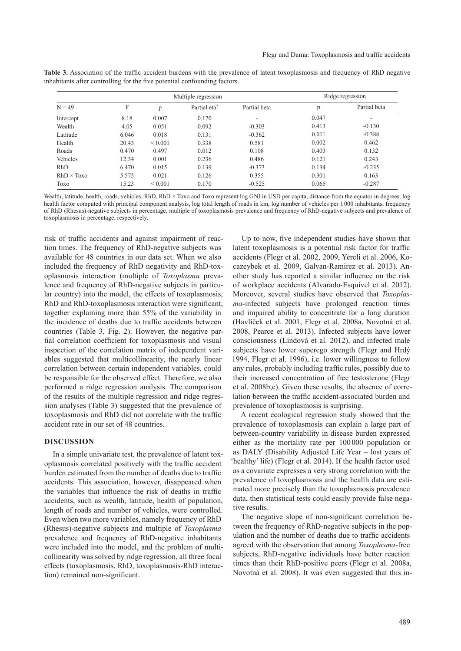|                   |       |              | Multiple regression      |              | Ridge regression |                          |
|-------------------|-------|--------------|--------------------------|--------------|------------------|--------------------------|
| $N = 49$          | F     | p            | Partial eta <sup>2</sup> | Partial beta | p                | Partial beta             |
| Intercept         | 8.18  | 0.007        | 0.170                    | ۰            | 0.047            | $\overline{\phantom{a}}$ |
| Wealth            | 4.05  | 0.051        | 0.092                    | $-0.303$     | 0.413            | $-0.130$                 |
| Latitude          | 6.046 | 0.018        | 0.131                    | $-0.362$     | 0.011            | $-0.388$                 |
| Health            | 20.43 | ${}_{0.001}$ | 0.338                    | 0.581        | 0.002            | 0.462                    |
| Roads             | 0.470 | 0.497        | 0.012                    | 0.108        | 0.403            | 0.132                    |
| Vehicles          | 12.34 | 0.001        | 0.236                    | 0.486        | 0.121            | 0.243                    |
| <b>RhD</b>        | 6.470 | 0.015        | 0.139                    | $-0.373$     | 0.134            | $-0.235$                 |
| $RhD \times Toxo$ | 5.575 | 0.021        | 0.126                    | 0.355        | 0.301            | 0.163                    |
| Toxo              | 15.23 | ${}_{0.001}$ | 0.170                    | $-0.525$     | 0.065            | $-0.287$                 |

**Table 3.** Association of the traffic accident burdens with the prevalence of latent toxoplasmosis and frequency of RhD negative inhabitants after controlling for the five potential confounding factors.

Wealth, latitude, health, roads, vehicles, RhD, RhD × Toxo and Toxo represent log GNI in USD per capita, distance from the equator in degrees, log health factor computed with principal component analysis, log total length of roads in km, log number of vehicles per 1 000 inhabitants, frequency of RhD (Rhesus)-negative subjects in percentage, multiple of toxoplasmosis prevalence and frequency of RhD-negative subjects and prevalence of toxoplasmosis in percentage, respectively.

risk of traffic accidents and against impairment of reaction times. The frequency of RhD-negative subjects was available for 48 countries in our data set. When we also included the frequency of RhD negativity and RhD-toxoplasmosis interaction (multiple of *Toxoplasma* prevalence and frequency of RhD-negative subjects in particular country) into the model, the effects of toxoplasmosis, RhD and RhD-toxoplasmosis interaction were significant, together explaining more than 55% of the variability in the incidence of deaths due to traffic accidents between countries (Table 3, Fig. 2). However, the negative partial correlation coefficient for toxoplasmosis and visual inspection of the correlation matrix of independent variables suggested that multicollinearity, the nearly linear correlation between certain independent variables, could be responsible for the observed effect. Therefore, we also performed a ridge regression analysis. The comparison of the results of the multiple regression and ridge regression analyses (Table 3) suggested that the prevalence of toxoplasmosis and RhD did not correlate with the traffic accident rate in our set of 48 countries.

## **DISCUSSION**

In a simple univariate test, the prevalence of latent toxoplasmosis correlated positively with the traffic accident burden estimated from the number of deaths due to traffic accidents. This association, however, disappeared when the variables that influence the risk of deaths in traffic accidents, such as wealth, latitude, health of population, length of roads and number of vehicles, were controlled. Even when two more variables, namely frequency of RhD (Rhesus)-negative subjects and multiple of *Toxoplasma* prevalence and frequency of RhD-negative inhabitants were included into the model, and the problem of multicollinearity was solved by ridge regression, all three focal effects (toxoplasmosis, RhD, toxoplasmosis-RhD interaction) remained non-significant.

Up to now, five independent studies have shown that latent toxoplasmosis is a potential risk factor for traffic accidents (Flegr et al. 2002, 2009, Yereli et al. 2006, Kocazeybek et al. 2009, Galvan-Ramirez et al. 2013). Another study has reported a similar influence on the risk of workplace accidents (Alvarado-Esquivel et al. 2012). Moreover, several studies have observed that *Toxoplasma*-infected subjects have prolonged reaction times and impaired ability to concentrate for a long duration (Havlíček et al. 2001, Flegr et al. 2008a, Novotná et al. 2008, Pearce et al. 2013). Infected subjects have lower consciousness (Lindová et al. 2012), and infected male subjects have lower superego strength (Flegr and Hrdý 1994, Flegr et al. 1996), i.e. lower willingness to follow any rules, probably including traffic rules, possibly due to their increased concentration of free testosterone (Flegr et al. 2008b,c). Given these results, the absence of correlation between the traffic accident-associated burden and prevalence of toxoplasmosis is surprising.

A recent ecological regression study showed that the prevalence of toxoplasmosis can explain a large part of between-country variability in disease burden expressed either as the mortality rate per 100 000 population or as DALY (Disability Adjusted Life Year – lost years of 'healthy' life) (Flegr et al. 2014). If the health factor used as a covariate expresses a very strong correlation with the prevalence of toxoplasmosis and the health data are estimated more precisely than the toxoplasmosis prevalence data, then statistical tests could easily provide false negative results.

The negative slope of non-significant correlation between the frequency of RhD-negative subjects in the population and the number of deaths due to traffic accidents agreed with the observation that among *Toxoplasma*-free subjects, RhD-negative individuals have better reaction times than their RhD-positive peers (Flegr et al. 2008a, Novotná et al. 2008). It was even suggested that this in-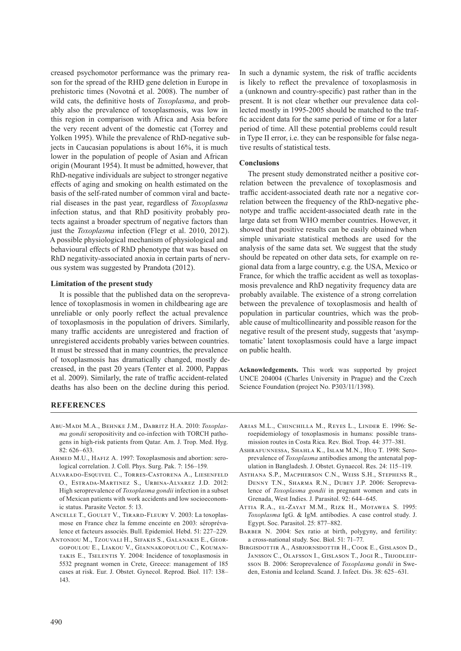creased psychomotor performance was the primary reason for the spread of the RHD gene deletion in Europe in prehistoric times (Novotná et al. 2008). The number of wild cats, the definitive hosts of *Toxoplasma*, and probably also the prevalence of toxoplasmosis, was low in this region in comparison with Africa and Asia before the very recent advent of the domestic cat (Torrey and Yolken 1995). While the prevalence of RhD-negative subjects in Caucasian populations is about 16%, it is much lower in the population of people of Asian and African origin (Mourant 1954). It must be admitted, however, that RhD-negative individuals are subject to stronger negative effects of aging and smoking on health estimated on the basis of the self-rated number of common viral and bacterial diseases in the past year, regardless of *Toxoplasma* infection status, and that RhD positivity probably protects against a broader spectrum of negative factors than just the *Toxoplasma* infection (Flegr et al. 2010, 2012). A possible physiological mechanism of physiological and behavioural effects of RhD phenotype that was based on RhD negativity-associated anoxia in certain parts of nervous system was suggested by Prandota (2012).

# **Limitation of the present study**

It is possible that the published data on the seroprevalence of toxoplasmosis in women in childbearing age are unreliable or only poorly reflect the actual prevalence of toxoplasmosis in the population of drivers. Similarly, many traffic accidents are unregistered and fraction of unregistered accidents probably varies between countries. It must be stressed that in many countries, the prevalence of toxoplasmosis has dramatically changed, mostly decreased, in the past 20 years (Tenter et al. 2000, Pappas et al. 2009). Similarly, the rate of traffic accident-related deaths has also been on the decline during this period.

In such a dynamic system, the risk of traffic accidents is likely to reflect the prevalence of toxoplasmosis in a (unknown and country-specific) past rather than in the present. It is not clear whether our prevalence data collected mostly in 1995-2005 should be matched to the traffic accident data for the same period of time or for a later period of time. All these potential problems could result in Type II error, i.e. they can be responsible for false negative results of statistical tests.

# **Conclusions**

The present study demonstrated neither a positive correlation between the prevalence of toxoplasmosis and traffic accident-associated death rate nor a negative correlation between the frequency of the RhD-negative phenotype and traffic accident-associated death rate in the large data set from WHO member countries. However, it showed that positive results can be easily obtained when simple univariate statistical methods are used for the analysis of the same data set. We suggest that the study should be repeated on other data sets, for example on regional data from a large country, e.g. the USA, Mexico or France, for which the traffic accident as well as toxoplasmosis prevalence and RhD negativity frequency data are probably available. The existence of a strong correlation between the prevalence of toxoplasmosis and health of population in particular countries, which was the probable cause of multicollinearity and possible reason for the negative result of the present study, suggests that 'asymptomatic' latent toxoplasmosis could have a large impact on public health.

**Acknowledgements.** This work was supported by project UNCE 204004 (Charles University in Prague) and the Czech Science Foundation (project No. P303/11/1398).

# **REFERENCES**

- Abu-Madi M.A., Behnke J.M., Dabritz H.A. 2010: *Toxoplasma gondii* seropositivity and co-infection with TORCH pathogens in high-risk patients from Qatar. Am. J. Trop. Med. Hyg.  $82.626 - 633$
- AHMED M.U., HAFIZ A. 1997: Toxoplasmosis and abortion: serological correlation. J. Coll. Phys. Surg. Pak. 7: 156–159.
- Alvarado-Esquivel C., Torres-Castorena A., Liesenfeld O., Estrada-Martinez S., Urbina-Alvarez J.D. 2012: High seroprevalence of *Toxoplasma gondii* infection in a subset of Mexican patients with work accidents and low socioeconomic status. Parasite Vector. 5: 13.
- Ancelle T., Goulet V., Tirard-Fleury V. 2003: La toxoplasmose en France chez la femme enceinte en 2003: séroprévalence et facteurs associés. Bull. Epidemiol. Hebd. 51: 227–229.
- Antoniou M., Tzouvali H., Sifakis S., Galanakis E., Georgopoulou E., Liakou V., Giannakopoulou C., Koumantakis E., Tselentis Y. 2004: Incidence of toxoplasmosis in 5532 pregnant women in Crete, Greece: management of 185 cases at risk. Eur. J. Obstet. Gynecol. Reprod. Biol. 117: 138– 143.
- Arias M.L., Chinchilla M., Reyes L., Linder E. 1996: Seroepidemiology of toxoplasmosis in humans: possible transmission routes in Costa Rica. Rev. Biol. Trop. 44: 377–381.
- Ashrafunnessa, Shahla K., Islam M.N., Huq T. 1998: Seroprevalence of *Toxoplasma* antibodies among the antenatal population in Bangladesh. J. Obstet. Gynaecol. Res. 24: 115–119.
- Asthana S.P., Macpherson C.N., Weiss S.H., Stephens R., Denny T.N., Sharma R.N., Dubey J.P. 2006: Seroprevalence of *Toxoplasma gondii* in pregnant women and cats in Grenada, West Indies. J. Parasitol. 92: 644–645.
- Attia R.A., el-Zayat M.M., Rizk H., Motawea S. 1995: *Toxoplasma* IgG. & IgM. antibodies. A case control study. J. Egypt. Soc. Parasitol. 25: 877–882.
- BARBER N. 2004: Sex ratio at birth, polygyny, and fertility: a cross-national study. Soc. Biol. 51: 71–77.
- Birgisdottir A., Asbjornsdottir H., Cook E., Gislason D., JANSSON C., OLAFSSON L. GISLASON T., JOGI R., THJODLEIFsson B. 2006: Seroprevalence of *Toxoplasma gondii* in Sweden, Estonia and Iceland. Scand. J. Infect. Dis. 38: 625–631.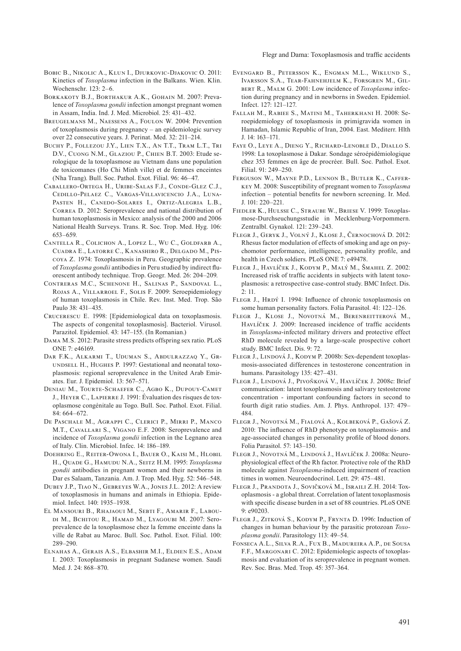Flegr and Dama: Toxoplasmosis and traffic accidents

- BOBIC B., NIKOLIC A., KLUN I., DJURKOVIC-DJAKOVIC O. 2011: Kinetics of *Toxoplasma* infection in the Balkans. Wien. Klin. Wochenschr. 123: 2–6.
- Borkakoty B.J., Borthakur A.K., Gohain M. 2007: Prevalence of *Toxoplasma gondii* infection amongst pregnant women in Assam, India. Ind. J. Med. Microbiol. 25: 431–432.
- Breugelmans M., Naessens A., Foulon W. 2004: Prevention of toxoplasmosis during pregnancy – an epidemiologic survey over 22 consecutive years. J. Perinat. Med. 32: 211–214.
- BUCHY P., FOLLEZOU J.Y., LIEN T.X., AN T.T., TRAM L.T., TRI D.V., Cuong N.M., Glaziou P., Chien B.T. 2003: Etude serologique de la toxoplasmose au Vietnam dans une population de toxicomanes (Ho Chi Minh ville) et de femmes enceintes (Nha Trang). Bull. Soc. Pathol. Exot. Filial. 96: 46–47.
- Caballero-Ortega H., Uribe-Salas F.J., Conde-Glez C.J., Cedillo-Pelaez C., Vargas-Villavicencio J.A., Luna-Pasten H., Canedo-Solares I., Ortiz-Alegria L.B., Correa D. 2012: Seroprevalence and national distribution of human toxoplasmosis in Mexico: analysis of the 2000 and 2006 National Health Surveys. Trans. R. Soc. Trop. Med. Hyg. 106: 653–659.
- Cantella R., Colichon A., Lopez L., Wu C., Goldfarb A., Cuadra E., Latorre C., Kanashiro R., Delgado M., Piscoya Z. 1974: Toxoplasmosis in Peru. Geographic prevalence of *Toxoplasma gondii* antibodies in Peru studied by indirect fluorescent antibody technique. Trop. Geogr. Med. 26: 204–209.
- Contreras M.C., Schenone H., Salinas P., Sandoval L., Rojas A., Villarroel F., Solis F. 2009: Seroepidemiology of human toxoplasmosis in Chile. Rev. Inst. Med. Trop. São Paulo 38: 431–435.
- Crucerescu E. 1998: [Epidemiological data on toxoplasmosis. The aspects of congenital toxoplasmosis]. Bacteriol. Virusol. Parazitol. Epidemiol. 43: 147–155. (In Romanian.)
- Dama M.S. 2012: Parasite stress predicts offspring sex ratio. PLoS ONE 7: e46169.
- Dar F.K., Alkarmi T., Uduman S., Abdulrazzaq Y., Grundsell H., Hughes P. 1997: Gestational and neonatal toxoplasmosis: regional seroprevalence in the United Arab Emirates. Eur. J. Epidemiol. 13: 567–571.
- Deniau M., Tourte-Schaefer C., Agbo K., Dupouy-Camet J., Heyer C., Lapierre J. 1991: Évaluation des risques de toxoplasmose congénitale au Togo. Bull. Soc. Pathol. Exot. Filial. 84: 664–672.
- De Paschale M., Agrappi C., Clerici P., Mirri P., Manco M.T., Cavallari S., Vigano E.F. 2008: Seroprevalence and incidence of *Toxoplasma gondii* infection in the Legnano area of Italy. Clin. Microbiol. Infec. 14: 186–189.
- Doehring E., Reiter-Owona I., Bauer O., Kaisi M., Hlobil H., Quade G., Hamudu N.A., Seitz H.M. 1995: *Toxoplasma gondii* antibodies in pregnant women and their newborns in Dar es Salaam, Tanzania. Am. J. Trop. Med. Hyg. 52: 546–548.
- Dubey J.P., Tiao N., Gebreyes W.A., Jones J.L. 2012: A review of toxoplasmosis in humans and animals in Ethiopia. Epidemiol. Infect. 140: 1935–1938.
- El Mansouri B., Rhajaoui M., Sebti F., Amarir F., Laboudi M., Bchitou R., Hamad M., Lyagoubi M. 2007: Seroprevalence de la toxoplasmose chez la femme enceinte dans la ville de Rabat au Maroc. Bull. Soc. Pathol. Exot. Filial. 100: 289–290.
- Elnahas A., Gerais A.S., Elbashir M.I., Eldien E.S., Adam I. 2003: Toxoplasmosis in pregnant Sudanese women. Saudi Med. J. 24: 868–870.
- Evengard B., Petersson K., Engman M.L., Wiklund S., Ivarsson S.A., Tear-Fahnehjelm K., Forsgren M., Gilbert R., Malm G. 2001: Low incidence of *Toxoplasma* infection during pregnancy and in newborns in Sweden. Epidemiol. Infect. 127: 121–127.
- Fallah M., Rabiee S., Matini M., Taherkhani H. 2008: Seroepidemiology of toxoplasmosis in primigravida women in Hamadan, Islamic Republic of Iran, 2004. East. Mediterr. Hlth J. 14: 163–171.
- Faye O., Leye A., Dieng Y., Richard-Lenoble D., Diallo S. 1998: La toxoplasmose à Dakar. Sondage séroépidémiologique chez 353 femmes en âge de procréer. Bull. Soc. Pathol. Exot. Filial. 91: 249–250.
- FERGUSON W., MAYNE P.D., LENNON B., BUTLER K., CAFFERkey M. 2008: Susceptibility of pregnant women to *Toxoplasma*  infection – potential benefits for newborn screening. Ir. Med.  $I. 101 \cdot 220 - 221$
- Fiedler K., Hulsse C., Straube W., Briese V. 1999: Toxoplasmose-Durchseuchungsstudie in Mecklenburg-Vorpommern. Zentralbl. Gynakol. 121: 239–243.
- Flegr J., Geryk J., Volný J., Klose J., Černochová D. 2012: Rhesus factor modulation of effects of smoking and age on psychomotor performance, intelligence, personality profile, and health in Czech soldiers. PLoS ONE 7: e49478.
- Flegr J., Havlíček J., Kodym P., Malý M., Šmahel Z. 2002: Increased risk of traffic accidents in subjects with latent toxoplasmosis: a retrospective case-control study. BMC Infect. Dis.  $2:11.$
- FLEGR J., HRDÝ I. 1994: Influence of chronic toxoplasmosis on some human personality factors. Folia Parasitol. 41: 122–126.
- Flegr J., Klose J., Novotná M., Berenreitterová M., HAVLÍČEK J. 2009: Increased incidence of traffic accidents in *Toxoplasma*-infected military drivers and protective effect RhD molecule revealed by a large-scale prospective cohort study. BMC Infect. Dis. 9: 72.
- FLEGR J., LINDOVÁ J., KODYM P. 2008b: Sex-dependent toxoplasmosis-associated differences in testosterone concentration in humans. Parasitology 135: 427–431.
- Flegr J., Lindová J., Pivoňková V., Havlíček J. 2008c: Brief communication: latent toxoplasmosis and salivary testosterone concentration - important confounding factors in second to fourth digit ratio studies. Am. J. Phys. Anthropol. 137: 479– 484.
- Flegr J., Novotná M., Fialová A., Kolbeková P., Gašová Z. 2010: The influence of RhD phenotype on toxoplasmosis- and age-associated changes in personality profile of blood donors. Folia Parasitol. 57: 143–150.
- Flegr J., Novotná M., Lindová J., Havlíček J. 2008a: Neurophysiological effect of the Rh factor. Protective role of the RhD molecule against *Toxoplasma*-induced impairment of reaction times in women. Neuroendocrinol. Lett. 29: 475–481.
- Flegr J., Prandota J., Sovičková M., Israili Z.H. 2014: Toxoplasmosis - a global threat. Correlation of latent toxoplasmosis with specific disease burden in a set of 88 countries. PLoS ONE 9: e90203.
- FLEGR J., ZITKOVÁ S., KODYM P., FRYNTA D. 1996: Induction of changes in human behaviour by the parasitic protozoan *Toxoplasma gondii*. Parasitology 113: 49–54.
- Fonseca A.L., Silva R.A., Fux B., Madureira A.P., de Sousa F.F., Margonari C. 2012: Epidemiologic aspects of toxoplasmosis and evaluation of its seroprevalence in pregnant women. Rev. Soc. Bras. Med. Trop. 45: 357–364.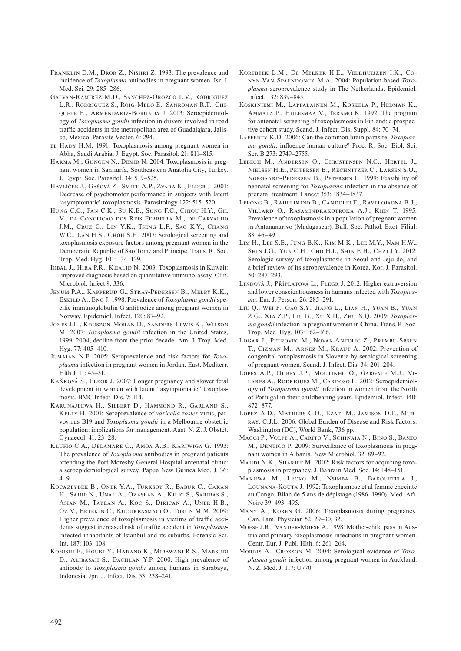- Franklin D.M., Dror Z., Nishri Z. 1993: The prevalence and incidence of *Toxoplasma* antibodies in pregnant women. Isr. J. Med. Sci. 29: 285–286.
- Galvan-Ramirez M.D., Sanchez-Orozco L.V., Rodriguez L.R., Rodriguez S., Roig-Melo E., Sanroman R.T., Chiquete E., Armendariz-Borunda J. 2013: Seroepidemiology of *Toxoplasma gondii* infection in drivers involved in road traffic accidents in the metropolitan area of Guadalajara, Jalisco, Mexico. Parasite Vector. 6: 294.
- el Hady H.M. 1991: Toxoplasmosis among pregnant women in Abha, Saudi Arabia. J. Egypt. Soc. Parasitol. 21: 811–815.
- Harma M., Gungen N., Demir N. 2004: Toxoplasmosis in pregnant women in Sanliurfa, Southeastern Anatolia City, Turkey. J. Egypt. Soc. Parasitol. 34: 519–525.
- Havlíček J., Gašová Z., Smith A.P., Zvára K., Flegr J. 2001: Decrease of psychomotor performance in subjects with latent 'asymptomatic' toxoplasmosis. Parasitology 122: 515–520.
- Hung C.C., Fan C.K., Su K.E., Sung F.C., Chiou H.Y., Gil V., da Conceicao dos Reis Ferreira M., de Carvalho J.M., Cruz C., Lin Y.K., Tseng L.F., Sao K.Y., Chang W.C., Lan H.S., Chou S.H. 2007: Serological screening and toxoplasmosis exposure factors among pregnant women in the Democratic Republic of Sao Tome and Principe. Trans. R. Soc. Trop. Med. Hyg. 101: 134–139.
- IQBAL J., HIRA P.R., KHALID N. 2003: Toxoplasmosis in Kuwait: improved diagnosis based on quantitative immuno-assay. Clin. Microbiol. Infect 9: 336.
- Jenum P.A., Kapperud G., Stray-Pedersen B., Melby K.K., Eskild A., Eng J. 1998: Prevalence of *Toxoplasma gondii* specific immunoglobulin G antibodies among pregnant women in Norway. Epidemiol. Infect. 120: 87–92.
- Jones J.L., Kruszon-Moran D., Sanders-Lewis K., Wilson M. 2007: *Toxoplasma gondii* infection in the United States, 1999–2004, decline from the prior decade. Am. J. Trop. Med. Hyg. 77: 405–410.
- Jumaian N.F. 2005: Seroprevalence and risk factors for *Toxoplasma* infection in pregnant women in Jordan. East. Mediterr. Hlth J. 11: 45–51.
- KAŇKOVÁ Š., FLEGR J. 2007: Longer pregnancy and slower fetal development in women with latent "asymptomatic" toxoplasmosis. BMC Infect. Dis. 7: 114.
- Karunajeewa H., Siebert D., Hammond R., Garland S., Kelly H. 2001: Seroprevalence of *varicella zoster* virus, parvovirus B19 and *Toxoplasma gondii* in a Melbourne obstetric population: implications for management. Aust. N. Z. J. Obstet. Gynaecol. 41: 23–28.
- Klufio C.A., Delamare O., Amoa A.B., Kariwiga G. 1993: The prevalence of *Toxoplasma* antibodies in pregnant patients attending the Port Moresby General Hospital antenatal clinic: a seroepidemiological survey. Papua New Guinea Med. J. 36:  $4 - 9$
- Kocazeybek B., Oner Y.A., Turksoy R., Babur C., Cakan H., Sahip N., Unal A., Ozaslan A., Kilic S., Saribas S., Asian M., Taylan A., Koc S., Dirican A., Uner H.B., Oz V., Ertekin C., Kucukbasmaci O., Torun M.M. 2009: Higher prevalence of toxoplasmosis in victims of traffic accidents suggest increased risk of traffic accident in *Toxoplasma*infected inhabitants of Istanbul and its suburbs. Forensic Sci. Int. 187: 103–108.
- Konishi E., Houki Y., Harano K., Mibawani R.S., Marsudi D., ALIBASAH S., DACHLAN Y.P. 2000: High prevalence of antibody to *Toxoplasma gondii* among humans in Surabaya, Indonesia. Jpn. J. Infect. Dis. 53: 238–241.
- Kortbeek L.M., De Melker H.E., Veldhuijzen I.K., Conyn-Van Spaendonck M.A. 2004: Population-based *Toxoplasma* seroprevalence study in The Netherlands. Epidemiol. Infect. 132: 839–845.
- Koskiniemi M., Lappalainen M., Koskela P., Hedman K., Ammala P., Hiilesmaa V., Teramo K. 1992: The program for antenatal screening of toxoplasmosis in Finland: a prospective cohort study. Scand. J. Infect. Dis. Suppl. 84: 70–74.
- Lafferty K.D. 2006: Can the common brain parasite, *Toxoplasma gondii*, influence human culture? Proc. R. Soc. Biol. Sci. Ser. B 273: 2749–2755.
- Lebech M., Andersen O., Christensen N.C., Hertel J., Nielsen H.E., Peitersen B., Rechnitzer C., Larsen S.O., Norgaard-Pedersen B., Petersen E. 1999: Feasibility of neonatal screening for *Toxoplasma* infection in the absence of prenatal treatment. Lancet 353: 1834–1837.
- Lelong B., Rahelimino B., Candolfi E., Ravelojaona B.J., Villard O., Rasamindrakotroka A.J., Kien T. 1995: Prevalence of toxoplasmosis in a population of pregnant women in Antananarivo (Madagascar). Bull. Soc. Pathol. Exot. Filial.  $88.46 - 49$
- Lim H., Lee S.E., Jung B.K., Kim M.K., Lee M.Y., Nam H.W., Shin J.G., Yun C.H., Cho H.I., Shin E.H., Chai J.Y. 2012: Serologic survey of toxoplasmosis in Seoul and Jeju-do, and a brief review of its seroprevalence in Korea. Kor. J. Parasitol. 50: 287–293.
- Lindová J., Příplatová L., Flegr J. 2012: Higher extraversion and lower conscientiousness in humans infected with *Toxoplasma*. Eur. J. Person. 26: 285–291.
- Liu Q., Wei F., Gao S.Y., Jiang L., Lian H., Yuan B., Yuan Z.G., Xia Z.P., Liu B., Xu X.H., Zhu X.Q. 2009: *Toxoplasma gondii* infection in pregnant women in China. Trans. R. Soc. Trop. Med. Hyg. 103: 162–166.
- Logar J., Petrovec M., Novak-Antolic Z., Premru-Srsen T., Cizman M., Arnez M., Kraut A. 2002: Prevention of congenital toxoplasmosis in Slovenia by serological screening of pregnant women. Scand. J. Infect. Dis. 34: 201–204.
- LOPES A.P., DUBEY J.P., MOUTINHO O., GARGATE M.J., VI-LARES A., RODRIGUES M., CARDOSO L. 2012: Seroepidemiology of *Toxoplasma gondii* infection in women from the North of Portugal in their childbearing years. Epidemiol. Infect. 140: 872–877.
- LOPEZ A.D., MATHERS C.D., EZATI M., JAMISON D.T., MURray, C.J.L. 2006. Global Burden of Disease and Risk Factors. Washington (DC), World Bank, 736 pp.
- Maggi P., Volpe A., Carito V., Schinaia N., Bino S., Basho M., DENTICO P. 2009: Surveillance of toxoplasmosis in pregnant women in Albania. New Microbiol. 32: 89–92.
- MAHDI N.K., SHARIEF M. 2002: Risk factors for acquiring toxoplasmosis in pregnancy. J. Bahrain Med. Soc. 14: 148–151.
- Makuwa M., Lecko M., Nsimba B., Bakouetela J., Lounana-Kouta J. 1992: Toxoplasmose et al femme enceinte au Congo. Bilan de 5 ans de dépistage (1986–1990). Med. Afr. Noire 39: 493–495.
- Many A., Koren G. 2006: Toxoplasmosis during pregnancy. Can. Fam. Physician 52: 29–30, 32.
- Moese J.R., Vander-Moese A. 1998: Mother-child pass in Austria and primary toxoplasmosis infections in pregnant women. Centr. Eur. J. Publ. Hlth. 6: 261–264.
- Morris A., Croxson M. 2004: Serological evidence of *Toxoplasma gondii* infection among pregnant women in Auckland. N. Z. Med. J. 117: U770.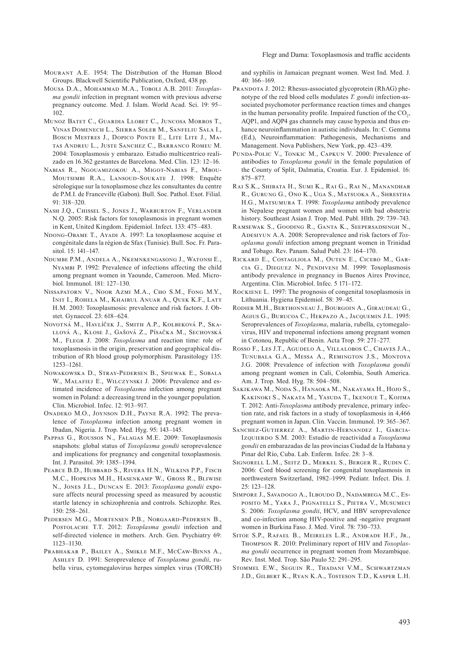- Mourant A.E. 1954: The Distribution of the Human Blood Groups. Blackwell Scientific Publication, Oxford, 438 pp.
- Mousa D.A., Mohammad M.A., Toboli A.B. 2011: *Toxoplasma gondii* infection in pregnant women with previous adverse pregnancy outcome. Med. J. Islam. World Acad. Sci. 19: 95– 102.
- Munoz Batet C., Guardia Llobet C., Juncosa Morros T., Vinas Domenech L., Sierra Soler M., Sanfeliu Sala I., Bosch Mestres J., Dopico Ponte E., Lite Lite J., Matas Andreu L., Juste Sanchez C., Barranco Romeu M. 2004: Toxoplasmosis y embarazo. Estudio multicentrico realizado en 16.362 gestantes de Barcelona. Med. Clin. 123: 12–16.
- Nabias R., Ngouamizokou A., Migot-Nabias F., Mbou-Moutsimbi R.A., Lansoud-Soukate J. 1998: Enquête sérologique sur la toxoplasmose chez les consultantes du centre de P.M.I. de Franceville (Gabon). Bull. Soc. Pathol. Exot. Filial.  $91 \cdot 318 - 320$
- Nash J.Q., Chissel S., Jones J., Warburton F., Verlander N.Q. 2005: Risk factors for toxoplasmosis in pregnant women in Kent, United Kingdom. Epidemiol. Infect. 133: 475–483.
- NDONG-OBAME T., AYADI A. 1997: La toxoplasmose acquise et congénitale dans la région de Sfax (Tunisie). Bull. Soc. Fr. Parasitol. 15: 141–147.
- Ndumbe P.M., Andela A., Nkemnkengasong J., Watonsi E., Nyambi P. 1992: Prevalence of infections affecting the child among pregnant women in Yaounde, Cameroon. Med. Microbiol. Immunol. 181: 127–130.
- Nissapatorn V., Noor Azmi M.A., Cho S.M., Fong M.Y., Init I., Rohela M., Khairul Anuar A., Quek K.F., Latt H.M. 2003: Toxoplasmosis: prevalence and risk factors. J. Obstet. Gynaecol. 23: 618–624.
- Novotná M., Havlíček J., Smith A.P., Kolbeková P., Skallová A., Klose J., Gašová Z., Písačka M., Sechovská M., Flegr J. 2008: *Toxoplasma* and reaction time: role of toxoplasmosis in the origin, preservation and geographical distribution of Rh blood group polymorphism. Parasitology 135: 1253–1261.
- Nowakowska D., Stray-Pedersen B., Spiewak E., Sobala W., MALAFIEJ E., WILCZYNSKI J. 2006: Prevalence and estimated incidence of *Toxoplasma* infection among pregnant women in Poland: a decreasing trend in the younger population. Clin. Microbiol. Infec. 12: 913–917.
- Onadeko M.O., Joynson D.H., Payne R.A. 1992: The prevalence of *Toxoplasma* infection among pregnant women in Ibadan, Nigeria. J. Trop. Med. Hyg. 95: 143–145.
- Pappas G., Roussos N., Falagas M.E. 2009: Toxoplasmosis snapshots: global status of *Toxoplasma gondii* seroprevalence and implications for pregnancy and congenital toxoplasmosis. Int. J. Parasitol. 39: 1385–1394.
- Pearce B.D., Hubbard S., Rivera H.N., Wilkins P.P., Fisch M.C., Hopkins M.H., Hasenkamp W., Gross R., Bliwise N., Jones J.L., Duncan E. 2013: *Toxoplasma gondii* exposure affects neural processing speed as measured by acoustic startle latency in schizophrenia and controls. Schizophr. Res. 150: 258–261.
- Pedersen M.G., Mortensen P.B., Norgaard-Pedersen B., Postolache T.T. 2012: *Toxoplasma gondii* infection and self-directed violence in mothers. Arch. Gen. Psychiatry 69: 1123–1130.
- Prabhakar P., Bailey A., Smikle M.F., McCaw-Binns A., Ashley D. 1991: Seroprevalence of *Toxoplasma gondii*, rubella virus, cytomegalovirus herpes simplex virus (TORCH)

and syphilis in Jamaican pregnant women. West Ind. Med. J. 40: 166–169.

- PRANDOTA J. 2012: Rhesus-associated glycoprotein (RhAG) phenotype of the red blood cells modulates *T. gondii* infection-associated psychomotor performance reaction times and changes in the human personality profile. Impaired function of the  $CO<sub>2</sub>$ , AQP1, and AQP4 gas channels may cause hypoxia and thus enhance neuroinflammation in autistic individuals. In: C. Gemma (Ed.), Neuroinflammation: Pathogenesis, Mechanisms and Management. Nova Publishers, New York, pp. 423–439.
- Punda-Polic V., Tonkic M., Capkun V. 2000: Prevalence of antibodies to *Toxoplasma gondii* in the female population of the County of Split, Dalmatia, Croatia. Eur. J. Epidemiol. 16: 875–877.
- Rai S.K., Shibata H., Sumi K., Rai G., Rai N., Manandhar R., Gurung G., Ono K., Uga S., Matsuoka A., Shrestha H.G., Matsumura T. 1998: *Toxoplasma* antibody prevalence in Nepalese pregnant women and women with bad obstetric history. Southeast Asian J. Trop. Med. Publ. Hlth. 29: 739–743.
- Ramsewak S., Gooding R., Ganta K., Seepersadsingh N., ADESIYUN A.A. 2008: Seroprevalence and risk factors of *Toxoplasma gondii* infection among pregnant women in Trinidad and Tobago. Rev. Panam. Salud Publ. 23: 164–170.
- Rickard E., Costagliola M., Outen E., Cicero M., Garcia G., Dieguez N., Pendiveni M. 1999: Toxoplasmosis antibody prevalence in pregnancy in Buenos Aires Province, Argentina. Clin. Microbiol. Infec. 5 171–172.
- Rockiene L. 1997: The prognosis of congenital toxoplasmosis in Lithuania. Hygiena Epidemiol. 58: 39–45.
- Rodier M.H., Berthonneau J., Bourgoin A., Giraudeau G., Agius G., Burucoa C., Hekpazo A., Jacquemin J.L. 1995: Seroprevalences of *Toxoplasma*, malaria, rubella, cytomegalovirus, HIV and treponemal infections among pregnant women in Cotonou, Republic of Benin. Acta Trop. 59: 271–277.
- Rosso F., Les J.T., Agudelo A., Villalobos C., Chaves J.A., Tunubala G.A., Messa A., Remington J.S., Montoya J.G. 2008: Prevalence of infection with *Toxoplasma gondii* among pregnant women in Cali, Colombia, South America. Am. J. Trop. Med. Hyg. 78: 504–508.
- Sakikawa M., Noda S., Hanaoka M., Nakayama H., Hojo S., Kakinoki S., Nakata M., Yasuda T., Ikenoue T., Kojima T. 2012: Anti-*Toxoplasma* antibody prevalence, primary infection rate, and risk factors in a study of toxoplasmosis in 4,466 pregnant women in Japan. Clin. Vaccin. Immunol. 19: 365–367.
- Sanchez-Gutierrez A., Martin-Hernandez I., Garcia-Izquierdo S.M. 2003: Estudio de reactividad a *Toxoplasma gondii* en embarazadas de las provincias Ciudad de la Habana y Pinar del Río, Cuba. Lab. Enferm. Infec. 28: 3–8.
- Signorell L.M., Seitz D., Merkel S., Berger R., Rudin C. 2006: Cord blood screening for congenital toxoplasmosis in northwestern Switzerland, 1982–1999. Pediatr. Infect. Dis. J. 25: 123–128.
- Simpore J., Savadogo A., Ilboudo D., Nadambega M.C., Esposito M., Yara J., Pignatelli S., Pietra V., Musumeci S. 2006: *Toxoplasma gondii*, HCV, and HBV seroprevalence and co-infection among HIV-positive and -negative pregnant women in Burkina Faso. J. Med. Virol. 78: 730–733.
- Sitoe S.P., Rafael B., Meireles L.R., Andrade H.F., Jr., Thompson R. 2010: Preliminary report of HIV and *Toxoplasma gondii* occurrence in pregnant women from Mozambique. Rev. Inst. Med. Trop. São Paulo 52: 291–295.
- Stommel E.W., Seguin R., Thadani V.M., Schwartzman J.D., Gilbert K., Ryan K.A., Tosteson T.D., Kasper L.H.